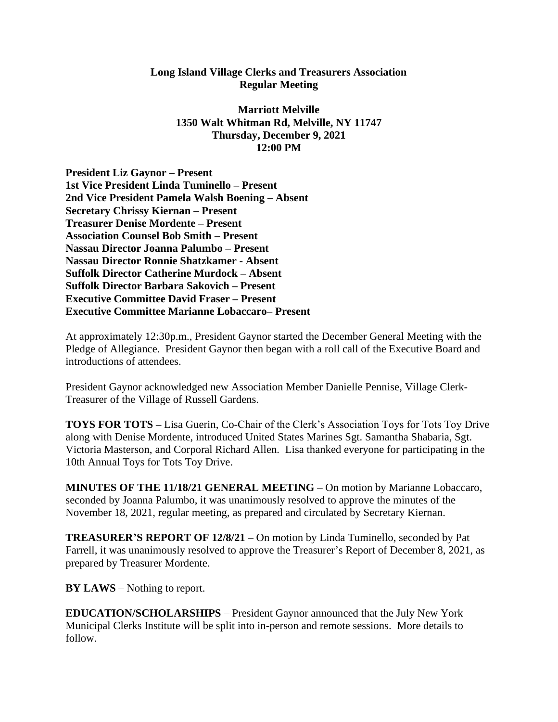## **Long Island Village Clerks and Treasurers Association Regular Meeting**

**Marriott Melville 1350 Walt Whitman Rd, Melville, NY 11747 Thursday, December 9, 2021 12:00 PM**

**President Liz Gaynor – Present 1st Vice President Linda Tuminello – Present 2nd Vice President Pamela Walsh Boening – Absent Secretary Chrissy Kiernan – Present Treasurer Denise Mordente – Present Association Counsel Bob Smith – Present Nassau Director Joanna Palumbo – Present Nassau Director Ronnie Shatzkamer - Absent Suffolk Director Catherine Murdock – Absent Suffolk Director Barbara Sakovich – Present Executive Committee David Fraser – Present Executive Committee Marianne Lobaccaro– Present**

At approximately 12:30p.m., President Gaynor started the December General Meeting with the Pledge of Allegiance. President Gaynor then began with a roll call of the Executive Board and introductions of attendees.

President Gaynor acknowledged new Association Member Danielle Pennise, Village Clerk-Treasurer of the Village of Russell Gardens.

**TOYS FOR TOTS –** Lisa Guerin, Co-Chair of the Clerk's Association Toys for Tots Toy Drive along with Denise Mordente, introduced United States Marines Sgt. Samantha Shabaria, Sgt. Victoria Masterson, and Corporal Richard Allen. Lisa thanked everyone for participating in the 10th Annual Toys for Tots Toy Drive.

**MINUTES OF THE 11/18/21 GENERAL MEETING** – On motion by Marianne Lobaccaro, seconded by Joanna Palumbo, it was unanimously resolved to approve the minutes of the November 18, 2021, regular meeting, as prepared and circulated by Secretary Kiernan.

**TREASURER'S REPORT OF 12/8/21** – On motion by Linda Tuminello, seconded by Pat Farrell, it was unanimously resolved to approve the Treasurer's Report of December 8, 2021, as prepared by Treasurer Mordente.

**BY LAWS** – Nothing to report.

**EDUCATION/SCHOLARSHIPS** – President Gaynor announced that the July New York Municipal Clerks Institute will be split into in-person and remote sessions. More details to follow.